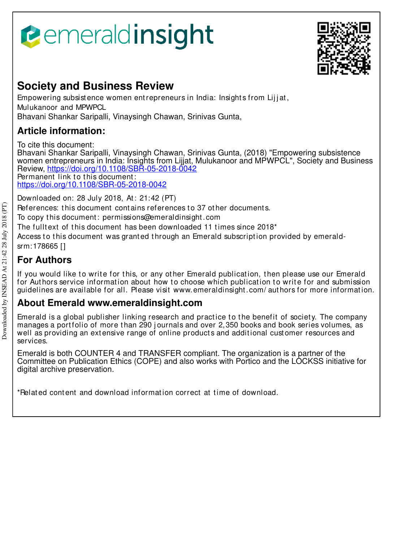# **B**emeraldinsight



## **Society and Business Review**

Empowering subsistence women ent repreneurs in India: Insights from Lijjat, Mulukanoor and MPWPCL Bhavani Shankar Saripalli, Vinaysingh Chawan, Srinivas Gunta,

## **Article information:**

To cite this document:

Bhavani Shankar Saripalli, Vinaysingh Chawan, Srinivas Gunta, (2018) "Empowering subsistence women entrepreneurs in India: Insights from Lijjat, Mulukanoor and MPWPCL", Society and Business Review, https://doi.org/10.1108/SBR-05-2018-0042 Permanent link to this document:

https://doi.org/10.1108/SBR-05-2018-0042

Downloaded on: 28 July 2018, At : 21:42 (PT)

References: this document contains references to 37 other documents.

To copy t his document : permissions@emeraldinsight .com

The fulltext of this document has been downloaded 11 times since 2018<sup>\*</sup>

Access to this document was granted through an Emerald subscription provided by emeraldsrm:178665 []

## **For Authors**

If you would like to write for this, or any other Emerald publication, then please use our Emerald for Authors service information about how to choose which publication to write for and submission guidelines are available for all. Please visit www.emeraldinsight .com/ aut hors for more informat ion.

## **About Emerald www.emeraldinsight.com**

Emerald is a global publisher linking research and practice to the benefit of society. The company manages a portfolio of more than 290 journals and over 2,350 books and book series volumes, as well as providing an extensive range of online products and additional customer resources and services.

Emerald is both COUNTER 4 and TRANSFER compliant. The organization is a partner of the Committee on Publication Ethics (COPE) and also works with Portico and the LOCKSS initiative for digital archive preservation.

\*Relat ed cont ent and download informat ion correct at t ime of download.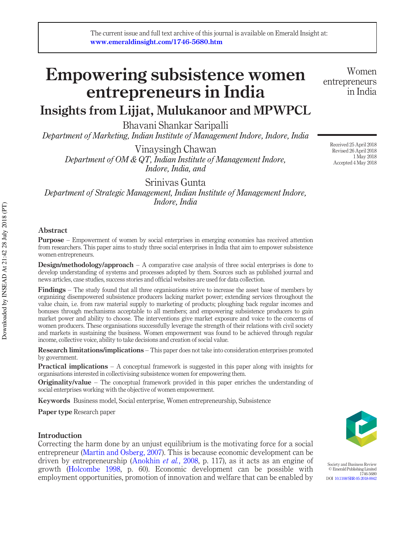## Empowering subsistence women entrepreneurs in India

## Insights from Lijjat, Mulukanoor and MPWPCL

Bhavani Shankar Saripalli

*Department of Marketing, Indian Institute of Management Indore, Indore, India*

Vinaysingh Chawan

*Department of OM & QT, Indian Institute of Management Indore, Indore, India, and*

Srinivas Gunta

*Department of Strategic Management, Indian Institute of Management Indore, Indore, India*

#### Abstract

Purpose – Empowerment of women by social enterprises in emerging economies has received attention from researchers. This paper aims to study three social enterprises in India that aim to empower subsistence women entrepreneurs.

**Design/methodology/approach** – A comparative case analysis of three social enterprises is done to develop understanding of systems and processes adopted by them. Sources such as published journal and news articles, case studies, success stories and official websites are used for data collection.

Findings – The study found that all three organisations strive to increase the asset base of members by organizing disempowered subsistence producers lacking market power; extending services throughout the value chain, i.e. from raw material supply to marketing of products; ploughing back regular incomes and bonuses through mechanisms acceptable to all members; and empowering subsistence producers to gain market power and ability to choose. The interventions give market exposure and voice to the concerns of women producers. These organisations successfully leverage the strength of their relations with civil society and markets in sustaining the business. Women empowerment was found to be achieved through regular income, collective voice, ability to take decisions and creation of social value.

Research limitations/implications - This paper does not take into consideration enterprises promoted by government.

**Practical implications** – A conceptual framework is suggested in this paper along with insights for organisations interested in collectivising subsistence women for empowering them.

**Originality/value** – The conceptual framework provided in this paper enriches the understanding of social enterprises working with the objective of women empowerment.

Keywords Business model, Social enterprise, Women entrepreneurship, Subsistence

Paper type Research paper

#### Introduction

Correcting the harm done by an unjust equilibrium is the motivating force for a social entrepreneur (Martin and Osberg, 2007). This is because economic development can be driven by entrepreneurship (Anokhin *et al.*, 2008, p. 117), as it acts as an engine of growth (Holcombe 1998, p. 60). Economic development can be possible with employment opportunities, promotion of innovation and welfare that can be enabled by

Society and Business Review © Emerald Publishing Limited 1746-5680 DOI 10.1108/SBR-05-2018-0042

Received 25 April 2018 Revised 26 April 2018 1 May 2018 Accepted 4 May 2018

Women

entrepreneurs in India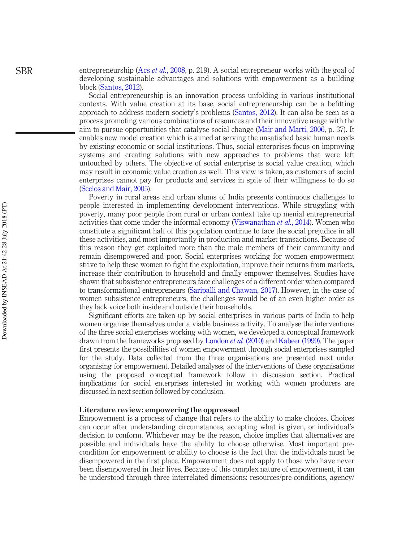entrepreneurship (Acs *et al.*, 2008, p. 219). A social entrepreneur works with the goal of developing sustainable advantages and solutions with empowerment as a building block (Santos, 2012).

Social entrepreneurship is an innovation process unfolding in various institutional contexts. With value creation at its base, social entrepreneurship can be a befitting approach to address modern society's problems (Santos, 2012). It can also be seen as a process promoting various combinations of resources and their innovative usage with the aim to pursue opportunities that catalyse social change (Mair and Marti, 2006, p. 37). It enables new model creation which is aimed at serving the unsatisfied basic human needs by existing economic or social institutions. Thus, social enterprises focus on improving systems and creating solutions with new approaches to problems that were left untouched by others. The objective of social enterprise is social value creation, which may result in economic value creation as well. This view is taken, as customers of social enterprises cannot pay for products and services in spite of their willingness to do so (Seelos and Mair, 2005).

Poverty in rural areas and urban slums of India presents continuous challenges to people interested in implementing development interventions. While struggling with poverty, many poor people from rural or urban context take up menial entrepreneurial activities that come under the informal economy (Viswanathan *et al.*, 2014). Women who constitute a significant half of this population continue to face the social prejudice in all these activities, and most importantly in production and market transactions. Because of this reason they get exploited more than the male members of their community and remain disempowered and poor. Social enterprises working for women empowerment strive to help these women to fight the exploitation, improve their returns from markets, increase their contribution to household and finally empower themselves. Studies have shown that subsistence entrepreneurs face challenges of a different order when compared to transformational entrepreneurs (Saripalli and Chawan, 2017). However, in the case of women subsistence entrepreneurs, the challenges would be of an even higher order as they lack voice both inside and outside their households.

Significant efforts are taken up by social enterprises in various parts of India to help women organise themselves under a viable business activity. To analyse the interventions of the three social enterprises working with women, we developed a conceptual framework drawn from the frameworks proposed by London *et al.* (2010) and Kabeer (1999). The paper first presents the possibilities of women empowerment through social enterprises sampled for the study. Data collected from the three organisations are presented next under organising for empowerment. Detailed analyses of the interventions of these organisations using the proposed conceptual framework follow in discussion section. Practical implications for social enterprises interested in working with women producers are discussed in next section followed by conclusion.

#### Literature review: empowering the oppressed

Empowerment is a process of change that refers to the ability to make choices. Choices can occur after understanding circumstances, accepting what is given, or individual's decision to conform. Whichever may be the reason, choice implies that alternatives are possible and individuals have the ability to choose otherwise. Most important precondition for empowerment or ability to choose is the fact that the individuals must be disempowered in the first place. Empowerment does not apply to those who have never been disempowered in their lives. Because of this complex nature of empowerment, it can be understood through three interrelated dimensions: resources/pre-conditions, agency/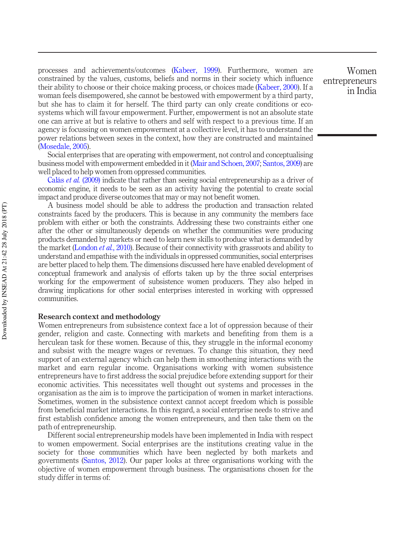processes and achievements/outcomes (Kabeer, 1999). Furthermore, women are constrained by the values, customs, beliefs and norms in their society which influence their ability to choose or their choice making process, or choices made (Kabeer, 2000). If a woman feels disempowered, she cannot be bestowed with empowerment by a third party, but she has to claim it for herself. The third party can only create conditions or ecosystems which will favour empowerment. Further, empowerment is not an absolute state one can arrive at but is relative to others and self with respect to a previous time. If an agency is focussing on women empowerment at a collective level, it has to understand the power relations between sexes in the context, how they are constructed and maintained (Mosedale, 2005).

Social enterprises that are operating with empowerment, not control and conceptualising business model with empowerment embedded in it (Mair and Schoen, 2007; Santos, 2009) are well placed to help women from oppressed communities.

Calás *et al.* (2009) indicate that rather than seeing social entrepreneurship as a driver of economic engine, it needs to be seen as an activity having the potential to create social impact and produce diverse outcomes that may or may not benefit women.

A business model should be able to address the production and transaction related constraints faced by the producers. This is because in any community the members face problem with either or both the constraints. Addressing these two constraints either one after the other or simultaneously depends on whether the communities were producing products demanded by markets or need to learn new skills to produce what is demanded by the market (London *et al.*, 2010). Because of their connectivity with grassroots and ability to understand and empathise with the individuals in oppressed communities, social enterprises are better placed to help them. The dimensions discussed here have enabled development of conceptual framework and analysis of efforts taken up by the three social enterprises working for the empowerment of subsistence women producers. They also helped in drawing implications for other social enterprises interested in working with oppressed communities.

#### Research context and methodology

Women entrepreneurs from subsistence context face a lot of oppression because of their gender, religion and caste. Connecting with markets and benefiting from them is a herculean task for these women. Because of this, they struggle in the informal economy and subsist with the meagre wages or revenues. To change this situation, they need support of an external agency which can help them in smoothening interactions with the market and earn regular income. Organisations working with women subsistence entrepreneurs have to first address the social prejudice before extending support for their economic activities. This necessitates well thought out systems and processes in the organisation as the aim is to improve the participation of women in market interactions. Sometimes, women in the subsistence context cannot accept freedom which is possible from beneficial market interactions. In this regard, a social enterprise needs to strive and first establish confidence among the women entrepreneurs, and then take them on the path of entrepreneurship.

Different social entrepreneurship models have been implemented in India with respect to women empowerment. Social enterprises are the institutions creating value in the society for those communities which have been neglected by both markets and governments (Santos, 2012). Our paper looks at three organisations working with the objective of women empowerment through business. The organisations chosen for the study differ in terms of: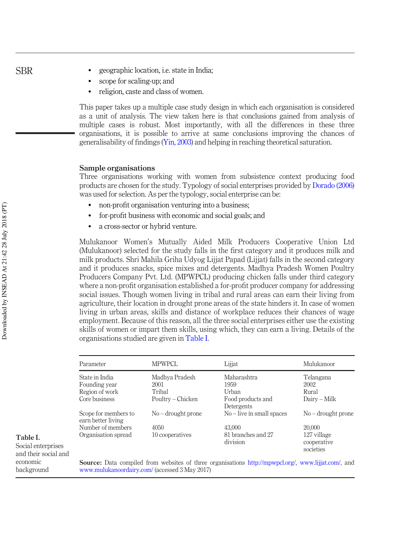### SBR

- geographic location, i.e. state in India;
- scope for scaling-up; and
- religion, caste and class of women.

This paper takes up a multiple case study design in which each organisation is considered as a unit of analysis. The view taken here is that conclusions gained from analysis of multiple cases is robust. Most importantly, with all the differences in these three organisations, it is possible to arrive at same conclusions improving the chances of generalisability of findings (Yin, 2003) and helping in reaching theoretical saturation.

#### Sample organisations

Three organisations working with women from subsistence context producing food products are chosen for the study. Typology of social enterprises provided by Dorado (2006) was used for selection. As per the typology, social enterprise can be:

- non-profit organisation venturing into a business;
- for-profit business with economic and social goals; and
- a cross-sector or hybrid venture.

Mulukanoor Women's Mutually Aided Milk Producers Cooperative Union Ltd (Mulukanoor) selected for the study falls in the first category and it produces milk and milk products. Shri Mahila Griha Udyog Lijjat Papad (Lijjat) falls in the second category and it produces snacks, spice mixes and detergents. Madhya Pradesh Women Poultry Producers Company Pvt. Ltd. (MPWPCL) producing chicken falls under third category where a non-profit organisation established a for-profit producer company for addressing social issues. Though women living in tribal and rural areas can earn their living from agriculture, their location in drought prone areas of the state hinders it. In case of women living in urban areas, skills and distance of workplace reduces their chances of wage employment. Because of this reason, all the three social enterprises either use the existing skills of women or impart them skills, using which, they can earn a living. Details of the organisations studied are given in Table I.

|                                                        | Parameter                                  | <b>MPWPCL</b>                                  | Lijjat                                                                                                     | Mulukanoor                              |
|--------------------------------------------------------|--------------------------------------------|------------------------------------------------|------------------------------------------------------------------------------------------------------------|-----------------------------------------|
|                                                        | State in India                             | Madhya Pradesh                                 | Maharashtra                                                                                                | Telangana                               |
|                                                        | Founding year                              | 2001                                           | 1959                                                                                                       | 2002                                    |
|                                                        | Region of work                             | Tribal                                         | Urban                                                                                                      | Rural                                   |
|                                                        | Core business                              | Poultry – Chicken                              | Food products and<br>Detergents                                                                            | Dairy – Milk                            |
|                                                        | Scope for members to<br>earn better living | $No$ – drought prone                           | $No$ – live in small spaces                                                                                | $No$ – drought prone                    |
|                                                        | Number of members                          | 4050                                           | 43,000                                                                                                     | 20,000                                  |
| Table I.<br>Social enterprises<br>and their social and | Organisation spread                        | 10 cooperatives                                | 81 branches and 27<br>division                                                                             | 127 village<br>cooperative<br>societies |
| economic<br>background                                 |                                            | www.mulukanoordairy.com/ (accessed 3 May 2017) | <b>Source:</b> Data compiled from websites of three organisations http://mpwpcl.org/, www.lijjat.com/, and |                                         |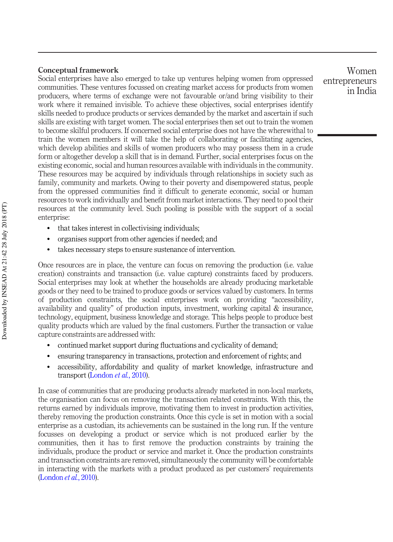#### Conceptual framework

Social enterprises have also emerged to take up ventures helping women from oppressed communities. These ventures focussed on creating market access for products from women producers, where terms of exchange were not favourable or/and bring visibility to their work where it remained invisible. To achieve these objectives, social enterprises identify skills needed to produce products or services demanded by the market and ascertain if such skills are existing with target women. The social enterprises then set out to train the women to become skilful producers. If concerned social enterprise does not have the wherewithal to train the women members it will take the help of collaborating or facilitating agencies, which develop abilities and skills of women producers who may possess them in a crude form or altogether develop a skill that is in demand. Further, social enterprises focus on the existing economic, social and human resources available with individuals in the community. These resources may be acquired by individuals through relationships in society such as family, community and markets. Owing to their poverty and disempowered status, people from the oppressed communities find it difficult to generate economic, social or human resources to work individually and benefit from market interactions. They need to pool their resources at the community level. Such pooling is possible with the support of a social enterprise:

- that takes interest in collectivising individuals;
- organises support from other agencies if needed; and
- takes necessary steps to ensure sustenance of intervention.

Once resources are in place, the venture can focus on removing the production (i.e. value creation) constraints and transaction (i.e. value capture) constraints faced by producers. Social enterprises may look at whether the households are already producing marketable goods or they need to be trained to produce goods or services valued by customers. In terms of production constraints, the social enterprises work on providing "accessibility, availability and quality" of production inputs, investment, working capital & insurance, technology, equipment, business knowledge and storage. This helps people to produce best quality products which are valued by the final customers. Further the transaction or value capture constraints are addressed with:

- continued market support during fluctuations and cyclicality of demand;
- ensuring transparency in transactions, protection and enforcement of rights; and
- accessibility, affordability and quality of market knowledge, infrastructure and transport (London *et al.*, 2010).

In case of communities that are producing products already marketed in non-local markets, the organisation can focus on removing the transaction related constraints. With this, the returns earned by individuals improve, motivating them to invest in production activities, thereby removing the production constraints. Once this cycle is set in motion with a social enterprise as a custodian, its achievements can be sustained in the long run. If the venture focusses on developing a product or service which is not produced earlier by the communities, then it has to first remove the production constraints by training the individuals, produce the product or service and market it. Once the production constraints and transaction constraints are removed, simultaneously the community will be comfortable in interacting with the markets with a product produced as per customers' requirements (London *et al.*, 2010).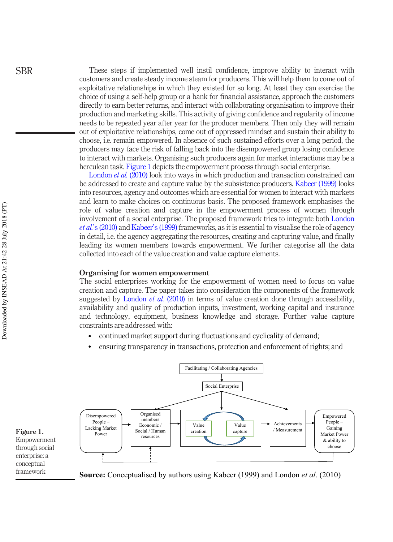These steps if implemented well instil confidence, improve ability to interact with customers and create steady income steam for producers. This will help them to come out of exploitative relationships in which they existed for so long. At least they can exercise the choice of using a self-help group or a bank for financial assistance, approach the customers directly to earn better returns, and interact with collaborating organisation to improve their production and marketing skills. This activity of giving confidence and regularity of income needs to be repeated year after year for the producer members. Then only they will remain out of exploitative relationships, come out of oppressed mindset and sustain their ability to choose, i.e. remain empowered. In absence of such sustained efforts over a long period, the producers may face the risk of falling back into the disempowered group losing confidence to interact with markets. Organising such producers again for market interactions may be a herculean task. Figure 1 depicts the empowerment process through social enterprise.

London *et al.* (2010) look into ways in which production and transaction constrained can be addressed to create and capture value by the subsistence producers. Kabeer (1999) looks into resources, agency and outcomes which are essential for women to interact with markets and learn to make choices on continuous basis. The proposed framework emphasises the role of value creation and capture in the empowerment process of women through involvement of a social enterprise. The proposed framework tries to integrate both London *et al.*'s (2010) and Kabeer's (1999) frameworks, as it is essential to visualise the role of agency in detail, i.e. the agency aggregating the resources, creating and capturing value, and finally leading its women members towards empowerment. We further categorise all the data collected into each of the value creation and value capture elements.

#### Organising for women empowerment

The social enterprises working for the empowerment of women need to focus on value creation and capture. The paper takes into consideration the components of the framework suggested by London *et al.* (2010) in terms of value creation done through accessibility, availability and quality of production inputs, investment, working capital and insurance and technology, equipment, business knowledge and storage. Further value capture constraints are addressed with:

- continued market support during fluctuations and cyclicality of demand;
- ensuring transparency in transactions, protection and enforcement of rights; and



**Source:** Conceptualised by authors using Kabeer (1999) and London *et al*. (2010)

SBR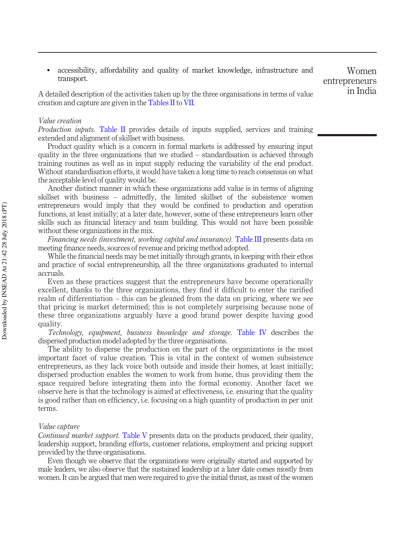accessibility, affordability and quality of market knowledge, infrastructure and transport.

A detailed description of the activities taken up by the three organisations in terms of value creation and capture are given in the Tables II to VII.

#### *Value creation*

*Production inputs.* Table II provides details of inputs supplied, services and training extended and alignment of skillset with business.

Product quality which is a concern in formal markets is addressed by ensuring input quality in the three organizations that we studied – standardisation is achieved through training routines as well as in input supply reducing the variability of the end product. Without standardisation efforts, it would have taken a long time to reach consensus on what the acceptable level of quality would be.

Another distinct manner in which these organizations add value is in terms of aligning skillset with business – admittedly, the limited skillset of the subsistence women entrepreneurs would imply that they would be confined to production and operation functions, at least initially; at a later date, however, some of these entrepreneurs learn other skills such as financial literacy and team building. This would not have been possible without these organizations in the mix.

*Financing needs (investment, working capital and insurance).* Table III presents data on meeting finance needs, sources of revenue and pricing method adopted.

While the financial needs may be met initially through grants, in keeping with their ethos and practice of social entrepreneurship, all the three organizations graduated to internal accruals.

Even as these practices suggest that the entrepreneurs have become operationally excellent, thanks to the three organizations, they find it difficult to enter the rarified realm of differentiation – this can be gleaned from the data on pricing, where we see that pricing is market determined; this is not completely surprising because none of these three organizations arguably have a good brand power despite having good quality.

*Technology, equipment, business knowledge and storage.* Table IV describes the dispersed production model adopted by the three organisations.

The ability to disperse the production on the part of the organizations is the most important facet of value creation. This is vital in the context of women subsistence entrepreneurs, as they lack voice both outside and inside their homes, at least initially; dispersed production enables the women to work from home, thus providing them the space required before integrating them into the formal economy. Another facet we observe here is that the technology is aimed at effectiveness, i.e. ensuring that the quality is good rather than on efficiency, i.e. focusing on a high quantity of production in per unit terms.

#### *Value capture*

*Continued market support.* Table V presents data on the products produced, their quality, leadership support, branding efforts, customer relations, employment and pricing support provided by the three organisations.

Even though we observe that the organizations were originally started and supported by male leaders, we also observe that the sustained leadership at a later date comes mostly from women. It can be argued that men were required to give the initial thrust, as most of the women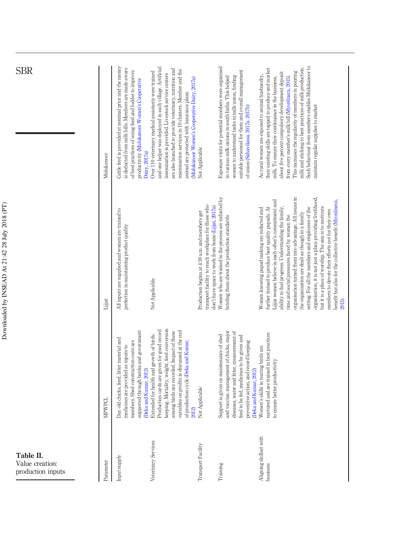| <b>SBR</b>                                        | Mulukanoor | Cattle feed is provided at nominal price and the money<br>is deducted from milk bills. Members are made aware<br>of best practices of using feed and fodder to improve<br>productivity (Mulukanoor Women's Cooperative<br>Dairy, 2017a) | and one helper was deployed in each village. Artificial<br>are also launched to provide veterinary, nutrition and<br>insemination services in 10 clusters. Member and the<br>Over 110 veterinary medical assistants were trained<br>insemination is provided. Livestock service centers<br>(Mulukanoor Women's Cooperative Dairy, 2017a)<br>animal are protected with insurance plans | Not Applicable                                                                                                                                              | Exposure visits for potential members were organised<br>suitable personnel for them and overall management<br>in various milk unions in south India. This helped<br>women to understand tasks in milk union, finding<br>of union (Sahavikasa, 2017a, 2017b) | Such behaviour from members enables Mulukanoor to<br>milk and sticking to best practices of milk production.<br>their existing skills are tapped to produce and market<br>This increases the regularity of members in pouring<br>about five percent compulsory development deposit<br>As rural women are exposed to animal husbandry,<br>from every member's milk bill (Myonlineca, 2015).<br>milk. To ensure their continuance in the business,<br>maintain regular supplies to market                                                                                                                                                                                            |
|---------------------------------------------------|------------|-----------------------------------------------------------------------------------------------------------------------------------------------------------------------------------------------------------------------------------------|---------------------------------------------------------------------------------------------------------------------------------------------------------------------------------------------------------------------------------------------------------------------------------------------------------------------------------------------------------------------------------------|-------------------------------------------------------------------------------------------------------------------------------------------------------------|-------------------------------------------------------------------------------------------------------------------------------------------------------------------------------------------------------------------------------------------------------------|------------------------------------------------------------------------------------------------------------------------------------------------------------------------------------------------------------------------------------------------------------------------------------------------------------------------------------------------------------------------------------------------------------------------------------------------------------------------------------------------------------------------------------------------------------------------------------------------------------------------------------------------------------------------------------|
|                                                   | Lijjat     | All inputs are supplied and women are trained to<br>perfection in maintaining product quality                                                                                                                                           | Not Applicable                                                                                                                                                                                                                                                                                                                                                                        | transport facility to reach workplace for those who<br>don't have space to work from home (Lijjat, 2017a)<br>Production begins at 4:30 a.m. and members get | Women who are trained in the process are inducted by<br>briefing them about the production standards                                                                                                                                                        | organisation turned them into advantage. All issues in<br>organisation, it is not just a place providing livelihood,<br>Lijjat women believe in each other's commitment and<br>benefit but also for the collective benefit (Myonlineca,<br>further trained to produce best quality papads. At<br>but it is a place of worship. The aim is to motivate<br>ability to fuel progress. Understanding the family,<br>setting. For all the members and employees of the<br>Women knowing papad making are inducted and<br>members to devote their efforts not for their own<br>the organisation are dealt as though in a family<br>time and social pressures faced by women the<br>2015) |
|                                                   | MPWPCI     | supported through banks and government<br>Day old chicks, feed, litter material and<br>members. Shed construction costs are<br>medicines are provided as inputs to<br>(Deka and Kumar, 2012)                                            | keeping. Mortality, weight, feed conversion<br>Production cards are given for good record<br>variables on profits is discussed at the end<br>among birds are recorded. Impact of these<br>Extended for health and growth of birds.<br>of production cycle (Deka and Kumar,<br>2012)                                                                                                   | Not Applicable                                                                                                                                              | and vaccine, management of chicks, major<br>diseases, water and litter, measurement of<br>Support is given on maintenance of shed<br>feed to be fed, medicines to be given and<br>preventive action, and record keeping<br>(Deka and Kumar, 2012)           | nurtured and are trained in best practices<br>Women's skills in rearing birds are<br>to ensure better productivity                                                                                                                                                                                                                                                                                                                                                                                                                                                                                                                                                                 |
| Table II.<br>Value creation:<br>production inputs | Parameter  | Input supply                                                                                                                                                                                                                            | Veterinary Services                                                                                                                                                                                                                                                                                                                                                                   | Transport Facility                                                                                                                                          | Training                                                                                                                                                                                                                                                    | Aligning skillset with<br>business                                                                                                                                                                                                                                                                                                                                                                                                                                                                                                                                                                                                                                                 |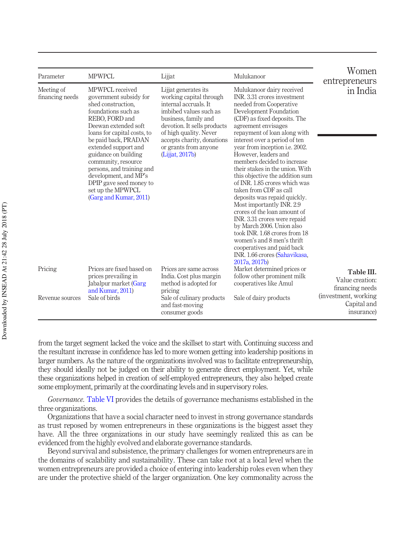| Parameter                     | <b>MPWPCL</b>                                                                                                                                                                                                                                                                                                                                                                                  | Lijjat                                                                                                                                                                                                                                                       | Mulukanoor                                                                                                                                                                                                                                                                                                                                                                                                                                                                                                                                                                                                                                                                                                                                                      | Women<br>entrepreneurs                             |
|-------------------------------|------------------------------------------------------------------------------------------------------------------------------------------------------------------------------------------------------------------------------------------------------------------------------------------------------------------------------------------------------------------------------------------------|--------------------------------------------------------------------------------------------------------------------------------------------------------------------------------------------------------------------------------------------------------------|-----------------------------------------------------------------------------------------------------------------------------------------------------------------------------------------------------------------------------------------------------------------------------------------------------------------------------------------------------------------------------------------------------------------------------------------------------------------------------------------------------------------------------------------------------------------------------------------------------------------------------------------------------------------------------------------------------------------------------------------------------------------|----------------------------------------------------|
| Meeting of<br>financing needs | MPWPCL received<br>government subsidy for<br>shed construction,<br>foundations such as<br>REBO, FORD and<br>Deewan extended soft<br>loans for capital costs, to<br>be paid back, PRADAN<br>extended support and<br>guidance on building<br>community, resource<br>persons, and training and<br>development, and MP's<br>DPIP gave seed money to<br>set up the MPWPCL<br>(Garg and Kumar, 2011) | Lijjat generates its<br>working capital through<br>internal accruals. It<br>imbibed values such as<br>business, family and<br>devotion. It sells products<br>of high quality. Never<br>accepts charity, donations<br>or grants from anyone<br>(Lijat, 2017b) | Mulukanoor dairy received<br>INR, 3.31 crores investment.<br>needed from Cooperative<br>Development Foundation<br>(CDF) as fixed deposits. The<br>agreement envisages<br>repayment of loan along with<br>interest over a period of ten<br>year from inception <i>i.e.</i> 2002.<br>However, leaders and<br>members decided to increase<br>their stakes in the union. With<br>this objective the addition sum<br>of INR, 1.85 crores which was<br>taken from CDF as call<br>deposits was repaid quickly.<br>Most importantly INR. 2.9<br>crores of the loan amount of<br>INR, 3.31 crores were repaid<br>by March 2006. Union also<br>took INR, 1.68 crores from 18<br>women's and 8 men's thrift<br>cooperatives and paid back<br>INR. 1.66 crores (Sahavikasa, | in India                                           |
| Pricing                       | Prices are fixed based on<br>prices prevailing in<br>Jabalpur market (Garg<br>and Kumar, 2011)                                                                                                                                                                                                                                                                                                 | Prices are same across<br>India. Cost plus margin<br>method is adopted for<br>pricing                                                                                                                                                                        | 2017a, 2017b)<br>Market determined prices or<br>follow other prominent milk<br>cooperatives like Amul                                                                                                                                                                                                                                                                                                                                                                                                                                                                                                                                                                                                                                                           | Table III.<br>Value creation:<br>financing needs   |
| Revenue sources               | Sale of birds                                                                                                                                                                                                                                                                                                                                                                                  | Sale of culinary products<br>and fast-moving<br>consumer goods                                                                                                                                                                                               | Sale of dairy products                                                                                                                                                                                                                                                                                                                                                                                                                                                                                                                                                                                                                                                                                                                                          | (investment, working)<br>Capital and<br>insurance) |

from the target segment lacked the voice and the skillset to start with. Continuing success and the resultant increase in confidence has led to more women getting into leadership positions in larger numbers. As the nature of the organizations involved was to facilitate entrepreneurship, they should ideally not be judged on their ability to generate direct employment. Yet, while these organizations helped in creation of self-employed entrepreneurs, they also helped create some employment, primarily at the coordinating levels and in supervisory roles.

*Governance.* Table VI provides the details of governance mechanisms established in the three organizations.

Organizations that have a social character need to invest in strong governance standards as trust reposed by women entrepreneurs in these organizations is the biggest asset they have. All the three organizations in our study have seemingly realized this as can be evidenced from the highly evolved and elaborate governance standards.

Beyond survival and subsistence, the primary challenges for women entrepreneurs are in the domains of scalability and sustainability. These can take root at a local level when the women entrepreneurs are provided a choice of entering into leadership roles even when they are under the protective shield of the larger organization. One key commonality across the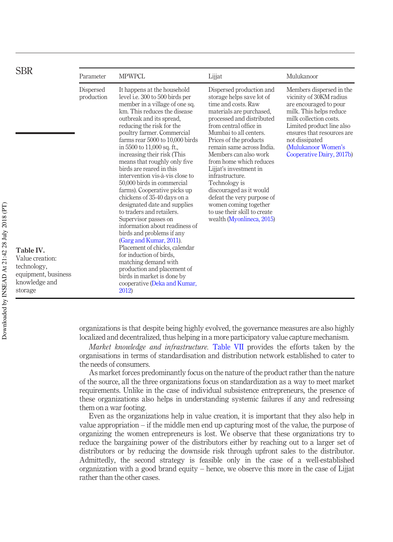| <b>SBR</b>                                                                                     |                         |                                                                                                                                                                                                                                                                                                                                                                                                                                                                                                                                                                                                                                                                                                                                                                                                                                                                                              |                                                                                                                                                                                                                                                                                                                                                                                                                                                                                                                   |                                                                                                                                                                                                                                                                     |
|------------------------------------------------------------------------------------------------|-------------------------|----------------------------------------------------------------------------------------------------------------------------------------------------------------------------------------------------------------------------------------------------------------------------------------------------------------------------------------------------------------------------------------------------------------------------------------------------------------------------------------------------------------------------------------------------------------------------------------------------------------------------------------------------------------------------------------------------------------------------------------------------------------------------------------------------------------------------------------------------------------------------------------------|-------------------------------------------------------------------------------------------------------------------------------------------------------------------------------------------------------------------------------------------------------------------------------------------------------------------------------------------------------------------------------------------------------------------------------------------------------------------------------------------------------------------|---------------------------------------------------------------------------------------------------------------------------------------------------------------------------------------------------------------------------------------------------------------------|
|                                                                                                | Parameter               | MPWPCL                                                                                                                                                                                                                                                                                                                                                                                                                                                                                                                                                                                                                                                                                                                                                                                                                                                                                       | Lijjat                                                                                                                                                                                                                                                                                                                                                                                                                                                                                                            | Mulukanoor                                                                                                                                                                                                                                                          |
| Table IV.<br>Value creation:<br>technology,<br>equipment, business<br>knowledge and<br>storage | Dispersed<br>production | It happens at the household<br>level i.e. 300 to 500 birds per<br>member in a village of one sq.<br>km. This reduces the disease<br>outbreak and its spread,<br>reducing the risk for the<br>poultry farmer. Commercial<br>farms rear 5000 to 10,000 birds<br>in 5500 to 11,000 sq. ft.,<br>increasing their risk (This<br>means that roughly only five<br>birds are reared in this<br>intervention vis-à-vis close to<br>50,000 birds in commercial<br>farms). Cooperative picks up<br>chickens of 35-40 days on a<br>designated date and supplies<br>to traders and retailers.<br>Supervisor passes on<br>information about readiness of<br>birds and problems if any<br>(Garg and Kumar, 2011).<br>Placement of chicks, calendar<br>for induction of birds.<br>matching demand with<br>production and placement of<br>birds in market is done by<br>cooperative (Deka and Kumar,<br>2012) | Dispersed production and<br>storage helps save lot of<br>time and costs. Raw<br>materials are purchased,<br>processed and distributed<br>from central office in<br>Mumbai to all centers.<br>Prices of the products<br>remain same across India.<br>Members can also work<br>from home which reduces<br>Lijjat's investment in<br>infrastructure.<br>Technology is<br>discouraged as it would<br>defeat the very purpose of<br>women coming together<br>to use their skill to create<br>wealth (Myonlineca, 2015) | Members dispersed in the<br>vicinity of 30KM radius<br>are encouraged to pour<br>milk. This helps reduce<br>milk collection costs.<br>Limited product line also<br>ensures that resources are<br>not dissipated<br>(Mulukanoor Women's<br>Cooperative Dairy, 2017b) |

organizations is that despite being highly evolved, the governance measures are also highly localized and decentralized, thus helping in a more participatory value capture mechanism.

*Market knowledge and infrastructure.* Table VII provides the efforts taken by the organisations in terms of standardisation and distribution network established to cater to the needs of consumers.

As market forces predominantly focus on the nature of the product rather than the nature of the source, all the three organizations focus on standardization as a way to meet market requirements. Unlike in the case of individual subsistence entrepreneurs, the presence of these organizations also helps in understanding systemic failures if any and redressing them on a war footing.

Even as the organizations help in value creation, it is important that they also help in value appropriation – if the middle men end up capturing most of the value, the purpose of organizing the women entrepreneurs is lost. We observe that these organizations try to reduce the bargaining power of the distributors either by reaching out to a larger set of distributors or by reducing the downside risk through upfront sales to the distributor. Admittedly, the second strategy is feasible only in the case of a well-established organization with a good brand equity – hence, we observe this more in the case of Lijjat rather than the other cases.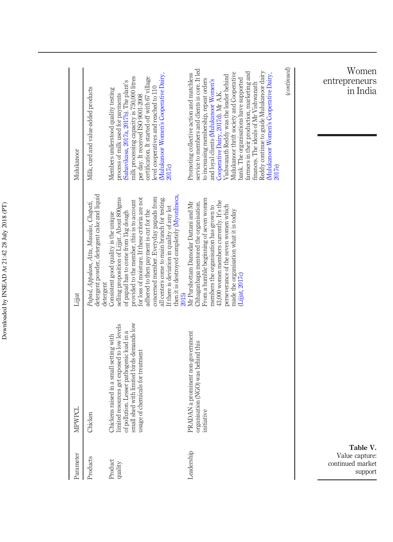| ۱              |
|----------------|
| I              |
| ŝ              |
|                |
|                |
|                |
| <br> <br> <br> |
| ۱              |
|                |
|                |
|                |
|                |

| Parameter          | <b>MPWPCL</b>                                                                                                                                                                                                             | Lijjat                                                                                                                                                                                                                                                                                                                                                                                                                       | Mulukanoor                                                                                                                                                                                                                                                                                                                                                                                                                                                                                                                                  |
|--------------------|---------------------------------------------------------------------------------------------------------------------------------------------------------------------------------------------------------------------------|------------------------------------------------------------------------------------------------------------------------------------------------------------------------------------------------------------------------------------------------------------------------------------------------------------------------------------------------------------------------------------------------------------------------------|---------------------------------------------------------------------------------------------------------------------------------------------------------------------------------------------------------------------------------------------------------------------------------------------------------------------------------------------------------------------------------------------------------------------------------------------------------------------------------------------------------------------------------------------|
| Products           | Chicken                                                                                                                                                                                                                   | detergent powder, detergent cake and liquid<br>Papad, Appalam, Atta, Masalas, Chapati,                                                                                                                                                                                                                                                                                                                                       | Milk, curd and value-added products                                                                                                                                                                                                                                                                                                                                                                                                                                                                                                         |
| Product<br>quality | I shed with limited birds demands low<br>limited resources get exposed to low levels<br>of pollution. Lesser pathogenic load in a<br>Chickens raised in a small setting with<br>usage of chemicals for treatment<br>small | concerned member. Everyday papads from<br>selling proposition of Lijjat. About 800gms<br>all centers come to main branch for testing.<br>for loss of moisture. If these criteria are not<br>provided to the member, this is to account<br>If there is deviation in quality of any lot<br>adhered to then payment is cut for the<br>of papad has to come from 1kg dough<br>Consistent good quality is the unique<br>detergent | (Mulukanoor Women's Cooperative Dairy,<br>milk processing capacity is 750,000 litres<br>certification. It started off with 67 village<br>(Sahavikasa, 2017a, 2017b). The plant's<br>level cooperatives and reached to 110<br>Members understood quality testing<br>process of milk used for payments<br>per day. It received ISO 9001-2008<br>2017c)                                                                                                                                                                                        |
| Leadership         | PRADAN a prominent non-government<br>organisation (NGO) was behind this<br>initiative                                                                                                                                     | then it is destroyed completely (Myonlineca,<br>From a humble beginning of seven women<br>43,000 women members currently. It's the<br>Mr Purshottam Damodar Dattani and Mr<br>Chhaganbapa mentored the organisation.<br>members the organisation has grown to<br>perseverance of the seven women which<br>made the organisation what it is today<br>(Lijjat, 2017c)<br>2015)                                                 | service to members and clients is core. It led<br>farmers in their production, marketing and<br>Reddy continue to guide Mulukanoor dairy<br>Mulukanoor thrift society and Cooperative<br>Mulukanoor Women's Cooperative Dairy,<br>Promoting collective action and matchless<br>Vishwanath Reddy was the leader behind<br>bank. The organisations have supported<br>to increasing membership, repeat orders<br>and loyal clients (Mulukanoor Women's<br>finances. The ideals of Mr Vishwanath<br>Cooperative Dairy, 2017d). Mr A.K<br>2017e) |
|                    |                                                                                                                                                                                                                           |                                                                                                                                                                                                                                                                                                                                                                                                                              | (continued)                                                                                                                                                                                                                                                                                                                                                                                                                                                                                                                                 |
| $_{\rm co}$        |                                                                                                                                                                                                                           |                                                                                                                                                                                                                                                                                                                                                                                                                              | ent                                                                                                                                                                                                                                                                                                                                                                                                                                                                                                                                         |

Women entrepreneurs in India

Table V. Value capture: ontinued market support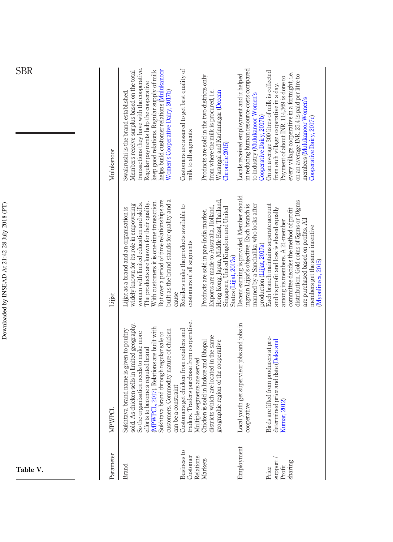| <b>SBR</b> | Mulukanoor | transactions they have with the cooperative.<br>helps build customer relations (Mulukanoor<br>Members receive surplus based on the total<br>keep good relations. Regular supply of milk<br>Regular payments help the cooperative<br>Women's Cooperative Dairy, 2017b)<br>Swakrushi is the brand established                       | Customers are assured to get best quality of<br>milk to all segments                                                    | Products are sold in the two districts only<br>from where the milk is procured, i.e.<br>Warangal and Karinmagar (Deccan<br>Chronicle 2015)                                                      | in reducing human resource costs compared<br>Locals received employment and it helped<br>to industry (Mulukanoor Women's<br>Cooperative Dairy, 2017b)          | On an average 300 litres of milk is collected<br>every village cooperative in a fortnight, i.e.<br>on an average INR. 25.4 is paid per litre to<br>Payment of about INR. 114,369 is done to<br>from each village cooperative in a day.<br>members (Mulukanoor Women's<br>Cooperative Dairy, 2017c)          |
|------------|------------|-----------------------------------------------------------------------------------------------------------------------------------------------------------------------------------------------------------------------------------------------------------------------------------------------------------------------------------|-------------------------------------------------------------------------------------------------------------------------|-------------------------------------------------------------------------------------------------------------------------------------------------------------------------------------------------|----------------------------------------------------------------------------------------------------------------------------------------------------------------|-------------------------------------------------------------------------------------------------------------------------------------------------------------------------------------------------------------------------------------------------------------------------------------------------------------|
|            | Lijjat     | But over a period of time relationships are<br>built as the brand stands for quality and a<br>With customers it is one-time transaction.<br>The products are known for their quality.<br>women with limited education and skills.<br>widely known for its role in empowering<br>Lijjat as a brand and an organisation is<br>cause | Retailers make the products available to<br>customers of all segments                                                   | Hong Kong, Japan, Middle East, Thailand,<br>Exports are made to Australia, Holland,<br>Singapore, United Kingdom and United<br>Products are sold in pan-India market.<br>States (Lijjat, 2017a) | Decent earning is provided. Member should<br>ingrain Lijjat's objective. Each branch is<br>manned by a Sanchalika who looks after<br>production (Lijat, 2017a) | distribution. Gold coins of 5gms or 10gms<br>Each branch maintains separate account<br>and its profit and loss is shared equally<br>committee decides the method of profit<br>are purchased based on profits. All<br>among its members. A 21-member<br>members get the same incentive<br>(Myonlineca, 2015) |
|            | MPWPCL     | sold. As chicken sells in limited geography.<br>MPWPCL, 2017). Relations are built with<br>Sukhtava brand name is given to poultry<br>customers. Commodity nature of chicken<br>Sukhtava brand through regular sale to<br>So the organisation needs to make more<br>efforts to become a reputed brand<br>can be a constraint      | traders. Traders purchase from cooperative.<br>Customers get chicken from retailers and<br>Multiple segments are served | districts which are located in the same<br>geographic region of the cooperative<br>Chicken is sold in Indore and Bhopal                                                                         | Local youth get supervisor jobs and jobs in<br>cooperative                                                                                                     | Birds are lifted from producers at pre-<br>determined price and date (Deka and<br>Kumar, 2012)                                                                                                                                                                                                              |
| Table V.   | Parameter  | <b>Brand</b>                                                                                                                                                                                                                                                                                                                      | Business to<br>Customer<br>Relations                                                                                    | Markets                                                                                                                                                                                         | Employment                                                                                                                                                     | support/<br>sharing<br>Profit<br>Price                                                                                                                                                                                                                                                                      |

Downloaded by INSEAD At 21:42 28 July 2018 (PT) Downloaded by INSEAD At 21:42 28 July 2018 (PT)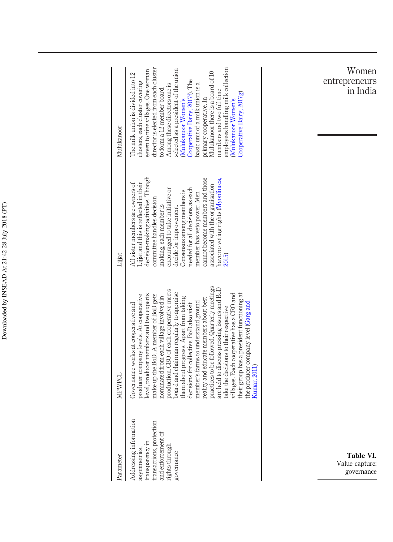| Parameter                                                                                                                                   | MPWPCL                                                                                                                                                                                                                                                                                                                                                                                                                                                                                                                                                                                                                                                                                                                                                                  | Lijjat                                                                                                                                                                                                                                                                                                                                                                                                                                                      | Mulukanoor                                                                                                                                                                                                                                                                                                                                                                                                                                                                                                                                |
|---------------------------------------------------------------------------------------------------------------------------------------------|-------------------------------------------------------------------------------------------------------------------------------------------------------------------------------------------------------------------------------------------------------------------------------------------------------------------------------------------------------------------------------------------------------------------------------------------------------------------------------------------------------------------------------------------------------------------------------------------------------------------------------------------------------------------------------------------------------------------------------------------------------------------------|-------------------------------------------------------------------------------------------------------------------------------------------------------------------------------------------------------------------------------------------------------------------------------------------------------------------------------------------------------------------------------------------------------------------------------------------------------------|-------------------------------------------------------------------------------------------------------------------------------------------------------------------------------------------------------------------------------------------------------------------------------------------------------------------------------------------------------------------------------------------------------------------------------------------------------------------------------------------------------------------------------------------|
| Addressing information<br>transactions, protection<br>and enforcement of<br>transparency in<br>rights through<br>asymmetries,<br>governance | practices to be followed. Quarterly meetings<br>are held to discuss pressing issues and BoD<br>production. CEO of each cooperative meets<br>board and chairman regularly to appraise<br>their group has a president functioning at<br>villages. Each cooperative has a CEO and<br>level, producer members and two experts<br>make up the BoD. A member of BoD gets<br>producer company levels. At cooperative<br>nominated from each village involved in<br>them about progress. Apart from taking<br>reality and educate members about best<br>member's farms to understand ground<br>the producer company level (Garg and<br>Governance works at cooperative and<br>decisions for collective, BoD also visit<br>take the decisions to their respective<br>Kumar, 2011 | decision-making activities. Though<br>cannot become members and those<br>have no voting rights (Myonlineca<br>All sister members are owners of<br>Lijjat and this is reflected in their<br>associated with the organisation<br>needed for all decisions as each<br>encouraged to take initiative or<br>Consensus among members is<br>member has veto power. Men<br>committee handles decision<br>making, each member is<br>decide for improvement.<br>2015) | employees handling milk collection<br>director is elected from each cluster<br>selected as a president of the union<br>seven to nine villages. One woman<br>Mulukanoor there is a board of 10<br>The milk union is divided into 12<br>Cooperative Dairy, 2017f). The<br>clusters, each cluster covering<br>pasic unit of a milk union is a<br>Among these directors one is<br>to form a 12-member board.<br>members and two full time<br>Cooperative Dairy, 2017g)<br>primary cooperative. In<br>Mulukanoor Women's<br>Mulukanoor Women's |
|                                                                                                                                             |                                                                                                                                                                                                                                                                                                                                                                                                                                                                                                                                                                                                                                                                                                                                                                         |                                                                                                                                                                                                                                                                                                                                                                                                                                                             |                                                                                                                                                                                                                                                                                                                                                                                                                                                                                                                                           |
| Tε<br>Value<br>gov                                                                                                                          |                                                                                                                                                                                                                                                                                                                                                                                                                                                                                                                                                                                                                                                                                                                                                                         |                                                                                                                                                                                                                                                                                                                                                                                                                                                             | W<br>entrepre<br>in                                                                                                                                                                                                                                                                                                                                                                                                                                                                                                                       |

Downloaded by INSEAD At 21:42 28 July 2018 (PT) Downloaded by INSEAD At 21:42 28 July 2018 (PT)

> able VI. capture: vernance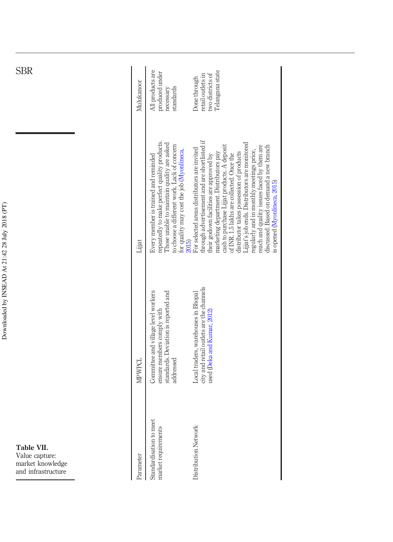|                                                                                                                        |                                                                                                                                                                                                                                                                                                                                                                                                                                                                                                                                                | <b>SBR</b>                                                               |
|------------------------------------------------------------------------------------------------------------------------|------------------------------------------------------------------------------------------------------------------------------------------------------------------------------------------------------------------------------------------------------------------------------------------------------------------------------------------------------------------------------------------------------------------------------------------------------------------------------------------------------------------------------------------------|--------------------------------------------------------------------------|
| MPWPCL                                                                                                                 | Lijjat                                                                                                                                                                                                                                                                                                                                                                                                                                                                                                                                         | Mulukanoor                                                               |
| Committee and village level workers<br>standards. Deviation is reported and<br>ensure members comply with<br>addressed | repeatedly to make perfect quality products.<br>Those unable to maintain quality are asked<br>to choose a different work. Lack of concern<br>for quality may cost the job (Myonlineca,<br>Every member is trained and reminded<br>2015)                                                                                                                                                                                                                                                                                                        | All products are<br>produced under<br>standards<br>necessary             |
| city and retail outlets are the channels<br>Local traders, warehouses in Bhopal<br>used (Deka and Kumar, 2012)         | through advertisement and are shortlisted if<br>Lijjat's job ends. Distributors are monitored<br>cash to purchase Lijjat products. A deposit<br>reach and quality issues faced by them are<br>discussed. Based on demand a new branch<br>For selected areas distributors are invited<br>regularly and in monthly meetings price,<br>distributor takes possession of products<br>marketing department. Distributors pay<br>of INR. 1.5 lakhs are collected. Once the<br>their godown facilities are approved by<br>is opened (Myonlineca, 2015) | Telangana state<br>two districts of<br>retail outlets in<br>Done through |

Downloaded by INSEAD At 21:42 28 July 2018 (PT)

Downloaded by INSEAD At 21:42 28 July 2018 (PT)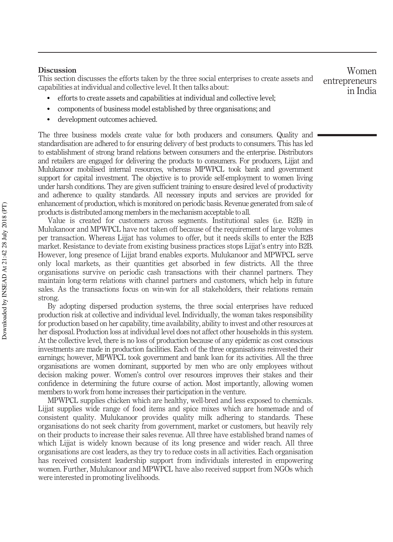#### **Discussion**

This section discusses the efforts taken by the three social enterprises to create assets and capabilities at individual and collective level. It then talks about:

efforts to create assets and capabilities at individual and collective level;

- components of business model established by three organisations; and
- development outcomes achieved.

The three business models create value for both producers and consumers. Quality and standardisation are adhered to for ensuring delivery of best products to consumers. This has led to establishment of strong brand relations between consumers and the enterprise. Distributors and retailers are engaged for delivering the products to consumers. For producers, Lijjat and Mulukanoor mobilised internal resources, whereas MPWPCL took bank and government support for capital investment. The objective is to provide self-employment to women living under harsh conditions. They are given sufficient training to ensure desired level of productivity and adherence to quality standards. All necessary inputs and services are provided for enhancement of production, which is monitored on periodic basis. Revenue generated from sale of products is distributed among members in the mechanism acceptable to all.

Value is created for customers across segments. Institutional sales (i.e. B2B) in Mulukanoor and MPWPCL have not taken off because of the requirement of large volumes per transaction. Whereas Lijjat has volumes to offer, but it needs skills to enter the B2B market. Resistance to deviate from existing business practices stops Lijjat's entry into B2B. However, long presence of Lijjat brand enables exports. Mulukanoor and MPWPCL serve only local markets, as their quantities get absorbed in few districts. All the three organisations survive on periodic cash transactions with their channel partners. They maintain long-term relations with channel partners and customers, which help in future sales. As the transactions focus on win-win for all stakeholders, their relations remain strong.

By adopting dispersed production systems, the three social enterprises have reduced production risk at collective and individual level. Individually, the woman takes responsibility for production based on her capability, time availability, ability to invest and other resources at her disposal. Production loss at individual level does not affect other households in this system. At the collective level, there is no loss of production because of any epidemic as cost conscious investments are made in production facilities. Each of the three organisations reinvested their earnings; however, MPWPCL took government and bank loan for its activities. All the three organisations are women dominant, supported by men who are only employees without decision making power. Women's control over resources improves their stakes and their confidence in determining the future course of action. Most importantly, allowing women members to work from home increases their participation in the venture.

MPWPCL supplies chicken which are healthy, well-bred and less exposed to chemicals. Lijjat supplies wide range of food items and spice mixes which are homemade and of consistent quality. Mulukanoor provides quality milk adhering to standards. These organisations do not seek charity from government, market or customers, but heavily rely on their products to increase their sales revenue. All three have established brand names of which Lijjat is widely known because of its long presence and wider reach. All three organisations are cost leaders, as they try to reduce costs in all activities. Each organisation has received consistent leadership support from individuals interested in empowering women. Further, Mulukanoor and MPWPCL have also received support from NGOs which were interested in promoting livelihoods.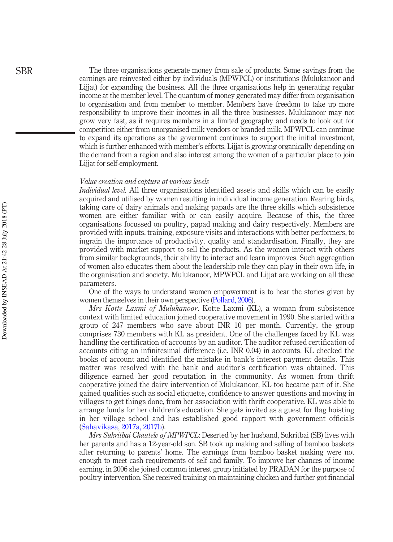The three organisations generate money from sale of products. Some savings from the earnings are reinvested either by individuals (MPWPCL) or institutions (Mulukanoor and Lijjat) for expanding the business. All the three organisations help in generating regular income at the member level. The quantum of money generated may differ from organisation to organisation and from member to member. Members have freedom to take up more responsibility to improve their incomes in all the three businesses. Mulukanoor may not grow very fast, as it requires members in a limited geography and needs to look out for competition either from unorganised milk vendors or branded milk. MPWPCL can continue to expand its operations as the government continues to support the initial investment, which is further enhanced with member's efforts. Lijjat is growing organically depending on the demand from a region and also interest among the women of a particular place to join Lijjat for self-employment.

#### *Value creation and capture at various levels*

*Individual level.* All three organisations identified assets and skills which can be easily acquired and utilised by women resulting in individual income generation. Rearing birds, taking care of dairy animals and making papads are the three skills which subsistence women are either familiar with or can easily acquire. Because of this, the three organisations focussed on poultry, papad making and dairy respectively. Members are provided with inputs, training, exposure visits and interactions with better performers, to ingrain the importance of productivity, quality and standardisation. Finally, they are provided with market support to sell the products. As the women interact with others from similar backgrounds, their ability to interact and learn improves. Such aggregation of women also educates them about the leadership role they can play in their own life, in the organisation and society. Mulukanoor, MPWPCL and Lijjat are working on all these parameters.

One of the ways to understand women empowerment is to hear the stories given by women themselves in their own perspective (Pollard, 2006).

*Mrs Kotte Laxmi of Mulukanoor*. Kotte Laxmi (KL), a woman from subsistence context with limited education joined cooperative movement in 1990. She started with a group of 247 members who save about INR 10 per month. Currently, the group comprises 730 members with KL as president. One of the challenges faced by KL was handling the certification of accounts by an auditor. The auditor refused certification of accounts citing an infinitesimal difference (i.e. INR 0.04) in accounts. KL checked the books of account and identified the mistake in bank's interest payment details. This matter was resolved with the bank and auditor's certification was obtained. This diligence earned her good reputation in the community. As women from thrift cooperative joined the dairy intervention of Mulukanoor, KL too became part of it. She gained qualities such as social etiquette, confidence to answer questions and moving in villages to get things done, from her association with thrift cooperative. KL was able to arrange funds for her children's education. She gets invited as a guest for flag hoisting in her village school and has established good rapport with government officials (Sahavikasa, 2017a, 2017b).

*Mrs Sukritbai Chautele of MPWPCL*: Deserted by her husband, Sukritbai (SB) lives with her parents and has a 12-year-old son. SB took up making and selling of bamboo baskets after returning to parents' home. The earnings from bamboo basket making were not enough to meet cash requirements of self and family. To improve her chances of income earning, in 2006 she joined common interest group initiated by PRADAN for the purpose of poultry intervention. She received training on maintaining chicken and further got financial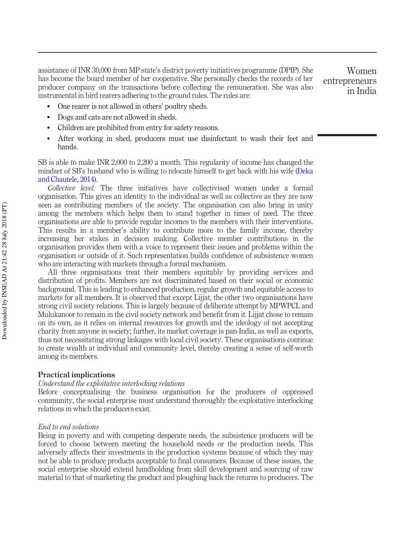assistance of INR 30,000 from MP state's district poverty initiatives programme (DPIP). She has become the board member of her cooperative. She personally checks the records of her producer company on the transactions before collecting the remuneration. She was also instrumental in bird rearers adhering to the ground rules. The rules are:

Women entrepreneurs in India

- One rearer is not allowed in others' poultry sheds.
- Dogs and cats are not allowed in sheds.
- Children are prohibited from entry for safety reasons.
- After working in shed, producers must use disinfectant to wash their feet and hands.

SB is able to make INR 2,000 to 2,200 a month. This regularity of income has changed the mindset of SB's husband who is willing to relocate himself to get back with his wife (Deka and Chautele, 2014).

*Collective level.* The three initiatives have collectivised women under a formal organisation. This gives an identity to the individual as well as collective as they are now seen as contributing members of the society. The organisation can also bring in unity among the members which helps them to stand together in times of need. The three organisations are able to provide regular incomes to the members with their interventions. This results in a member's ability to contribute more to the family income, thereby increasing her stakes in decision making. Collective member contributions in the organisation provides them with a voice to represent their issues and problems within the organisation or outside of it. Such representation builds confidence of subsistence women who are interacting with markets through a formal mechanism.

All three organisations treat their members equitably by providing services and distribution of profits. Members are not discriminated based on their social or economic background. This is leading to enhanced production, regular growth and equitable access to markets for all members. It is observed that except Lijjat, the other two organisations have strong civil society relations. This is largely because of deliberate attempt by MPWPCL and Mulukanoor to remain in the civil society network and benefit from it. Lijjat chose to remain on its own, as it relies on internal resources for growth and the ideology of not accepting charity from anyone in society; further, its market coverage is pan-India, as well as exports, thus not necessitating strong linkages with local civil society. These organisations continue to create wealth at individual and community level, thereby creating a sense of self-worth among its members.

#### Practical implications

#### *Understand the exploitative interlocking relations*

Before conceptualising the business organisation for the producers of oppressed community, the social enterprise must understand thoroughly the exploitative interlocking relations in which the producers exist.

#### *End to end solutions*

Being in poverty and with competing desperate needs, the subsistence producers will be forced to choose between meeting the household needs or the production needs. This adversely affects their investments in the production systems because of which they may not be able to produce products acceptable to final consumers. Because of these issues, the social enterprise should extend handholding from skill development and sourcing of raw material to that of marketing the product and ploughing back the returns to producers. The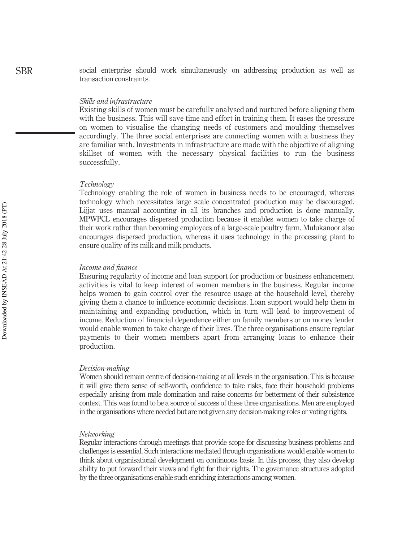social enterprise should work simultaneously on addressing production as well as transaction constraints.

#### *Skills and infrastructure*

Existing skills of women must be carefully analysed and nurtured before aligning them with the business. This will save time and effort in training them. It eases the pressure on women to visualise the changing needs of customers and moulding themselves accordingly. The three social enterprises are connecting women with a business they are familiar with. Investments in infrastructure are made with the objective of aligning skillset of women with the necessary physical facilities to run the business successfully.

#### *Technology*

Technology enabling the role of women in business needs to be encouraged, whereas technology which necessitates large scale concentrated production may be discouraged. Lijjat uses manual accounting in all its branches and production is done manually. MPWPCL encourages dispersed production because it enables women to take charge of their work rather than becoming employees of a large-scale poultry farm. Mulukanoor also encourages dispersed production, whereas it uses technology in the processing plant to ensure quality of its milk and milk products.

#### *Income and* fi*nance*

Ensuring regularity of income and loan support for production or business enhancement activities is vital to keep interest of women members in the business. Regular income helps women to gain control over the resource usage at the household level, thereby giving them a chance to influence economic decisions. Loan support would help them in maintaining and expanding production, which in turn will lead to improvement of income. Reduction of financial dependence either on family members or on money lender would enable women to take charge of their lives. The three organisations ensure regular payments to their women members apart from arranging loans to enhance their production.

#### *Decision-making*

Women should remain centre of decision-making at all levels in the organisation. This is because it will give them sense of self-worth, confidence to take risks, face their household problems especially arising from male domination and raise concerns for betterment of their subsistence context. This was found to be a source of success of these three organisations. Men are employed in the organisations where needed but are not given any decision-making roles or voting rights.

#### *Networking*

Regular interactions through meetings that provide scope for discussing business problems and challenges is essential. Such interactions mediated through organisations would enable women to think about organisational development on continuous basis. In this process, they also develop ability to put forward their views and fight for their rights. The governance structures adopted by the three organisations enable such enriching interactions among women.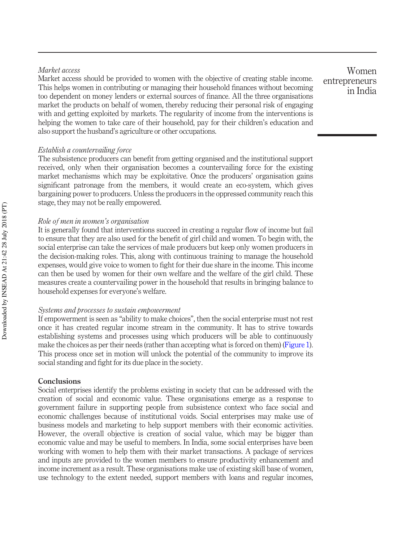#### *Market access*

Market access should be provided to women with the objective of creating stable income. This helps women in contributing or managing their household finances without becoming too dependent on money lenders or external sources of finance. All the three organisations market the products on behalf of women, thereby reducing their personal risk of engaging with and getting exploited by markets. The regularity of income from the interventions is helping the women to take care of their household, pay for their children's education and also support the husband's agriculture or other occupations.

#### *Establish a countervailing force*

The subsistence producers can benefit from getting organised and the institutional support received, only when their organisation becomes a countervailing force for the existing market mechanisms which may be exploitative. Once the producers' organisation gains significant patronage from the members, it would create an eco-system, which gives bargaining power to producers. Unless the producers in the oppressed community reach this stage, they may not be really empowered.

#### *Role of men in women*'*s organisation*

It is generally found that interventions succeed in creating a regular flow of income but fail to ensure that they are also used for the benefit of girl child and women. To begin with, the social enterprise can take the services of male producers but keep only women producers in the decision-making roles. This, along with continuous training to manage the household expenses, would give voice to women to fight for their due share in the income. This income can then be used by women for their own welfare and the welfare of the girl child. These measures create a countervailing power in the household that results in bringing balance to household expenses for everyone's welfare.

#### *Systems and processes to sustain empowerment*

If empowerment is seen as "ability to make choices", then the social enterprise must not rest once it has created regular income stream in the community. It has to strive towards establishing systems and processes using which producers will be able to continuously make the choices as per their needs (rather than accepting what is forced on them) (Figure 1). This process once set in motion will unlock the potential of the community to improve its social standing and fight for its due place in the society.

#### Conclusions

Social enterprises identify the problems existing in society that can be addressed with the creation of social and economic value. These organisations emerge as a response to government failure in supporting people from subsistence context who face social and economic challenges because of institutional voids. Social enterprises may make use of business models and marketing to help support members with their economic activities. However, the overall objective is creation of social value, which may be bigger than economic value and may be useful to members. In India, some social enterprises have been working with women to help them with their market transactions. A package of services and inputs are provided to the women members to ensure productivity enhancement and income increment as a result. These organisations make use of existing skill base of women, use technology to the extent needed, support members with loans and regular incomes,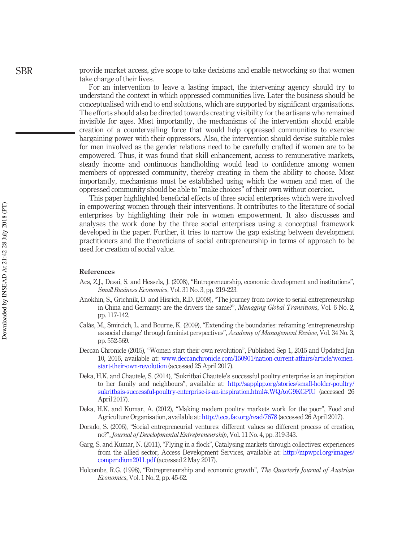provide market access, give scope to take decisions and enable networking so that women take charge of their lives.

For an intervention to leave a lasting impact, the intervening agency should try to understand the context in which oppressed communities live. Later the business should be conceptualised with end to end solutions, which are supported by significant organisations. The efforts should also be directed towards creating visibility for the artisans who remained invisible for ages. Most importantly, the mechanisms of the intervention should enable creation of a countervailing force that would help oppressed communities to exercise bargaining power with their oppressors. Also, the intervention should devise suitable roles for men involved as the gender relations need to be carefully crafted if women are to be empowered. Thus, it was found that skill enhancement, access to remunerative markets, steady income and continuous handholding would lead to confidence among women members of oppressed community, thereby creating in them the ability to choose. Most importantly, mechanisms must be established using which the women and men of the oppressed community should be able to "make choices" of their own without coercion.

This paper highlighted beneficial effects of three social enterprises which were involved in empowering women through their interventions. It contributes to the literature of social enterprises by highlighting their role in women empowerment. It also discusses and analyses the work done by the three social enterprises using a conceptual framework developed in the paper. Further, it tries to narrow the gap existing between development practitioners and the theoreticians of social entrepreneurship in terms of approach to be used for creation of social value.

#### References

- Acs, Z.J., Desai, S. and Hessels, J. (2008), "Entrepreneurship, economic development and institutions", *Small Business Economics*, Vol. 31 No. 3, pp. 219-223.
- Anokhin, S., Grichnik, D. and Hisrich, R.D. (2008), "The journey from novice to serial entrepreneurship in China and Germany: are the drivers the same?", *Managing Global Transitions*, Vol. 6 No. 2, pp. 117-142.
- Calás, M., Smircich, L. and Bourne, K. (2009), "Extending the boundaries: reframing 'entrepreneurship as social change' through feminist perspectives", *Academy of Management Review*, Vol. 34 No. 3, pp. 552-569.
- Deccan Chronicle (2015), "Women start their own revolution", Published Sep 1, 2015 and Updated Jan 10, 2016, available at: www.deccanchronicle.com/150901/nation-current-affairs/article/womenstart-their-own-revolution (accessed 25 April 2017).
- Deka, H.K. and Chautele, S. (2014), "Sukritbai Chautele's successful poultry enterprise is an inspiration to her family and neighbours", available at: http://sapplpp.org/stories/small-holder-poultry/ sukritbais-successful-poultry-enterprise-is-an-inspiration.html#.WQAoG9KGPIU (accessed 26 April 2017).
- Deka, H.K. and Kumar, A. (2012), "Making modern poultry markets work for the poor", Food and Agriculture Organisation, available at: http://teca.fao.org/read/7678 (accessed 26 April 2017).
- Dorado, S. (2006), "Social entrepreneurial ventures: different values so different process of creation, no?", *Journal of Developmental Entrepreneurship*, Vol. 11 No. 4, pp. 319-343.
- Garg, S. and Kumar, N. (2011), "Flying in a flock", Catalysing markets through collectives: experiences from the allied sector, Access Development Services, available at: http://mpwpcl.org/images/ compendium2011.pdf (accessed 2 May 2017).
- Holcombe, R.G. (1998), "Entrepreneurship and economic growth", *The Quarterly Journal of Austrian Economics*, Vol. 1 No. 2, pp. 45-62.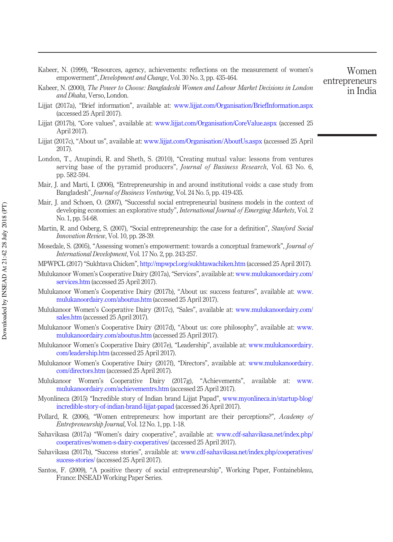| Kabeer, N. (1999), "Resources, agency, achievements: reflections on the measurement of women's<br>empowerment", <i>Development and Change</i> , Vol. 30 No. 3, pp. 435-464.                                                         | Women<br>entrepreneurs |
|-------------------------------------------------------------------------------------------------------------------------------------------------------------------------------------------------------------------------------------|------------------------|
| Kabeer, N. (2000), The Power to Choose: Bangladeshi Women and Labour Market Decisions in London<br>and Dhaka, Verso, London.                                                                                                        | in India               |
| Lijjat (2017a), "Brief information", available at: www.lijjat.com/Organisation/BriefInformation.aspx<br>(accessed 25 April 2017).                                                                                                   |                        |
| Lijjat (2017b), "Core values", available at: www.lijjat.com/Organisation/CoreValue.aspx (accessed 25<br>April 2017).                                                                                                                |                        |
| Lijjat (2017c), "About us", available at: www.lijjat.com/Organisation/AboutUs.aspx (accessed 25 April<br>2017).                                                                                                                     |                        |
| London, T., Anupindi, R. and Sheth, S. (2010), "Creating mutual value: lessons from ventures<br>serving base of the pyramid producers", <i>Journal of Business Research</i> , Vol. 63 No. 6,<br>pp. 582-594.                        |                        |
| Mair, J. and Marti, I. (2006), "Entrepreneurship in and around institutional voids: a case study from<br>Bangladesh", <i>Journal of Business Venturing</i> , Vol. 24 No. 5, pp. 419-435.                                            |                        |
| Mair, J. and Schoen, O. (2007), "Successful social entrepreneurial business models in the context of<br>developing economies: an explorative study", <i>International Journal of Emerging Markets</i> , Vol. 2<br>No. 1, pp. 54-68. |                        |
| Martin, R. and Osberg, S. (2007), "Social entrepreneurship: the case for a definition", Stanford Social<br>Innovation Review, Vol. 10, pp. 28-39.                                                                                   |                        |
| Mosedale, S. (2005), "Assessing women's empowerment: towards a conceptual framework", Journal of<br>International Development, Vol. 17 No. 2, pp. 243-257.                                                                          |                        |
| MPWPCL (2017) "Sukhtava Chicken", http://mpwpcl.org/sukhtawachiken.htm (accessed 25 April 2017).                                                                                                                                    |                        |
| Mulukanoor Women's Cooperative Dairy (2017a), "Services", available at: www.mulukanoordairy.com/<br>services.htm (accessed 25 April 2017).                                                                                          |                        |
| Mulukanoor Women's Cooperative Dairy (2017b), "About us: success features", available at: www.<br>mulukanoordairy.com/aboutus.htm (accessed 25 April 2017).                                                                         |                        |
| Mulukanoor Women's Cooperative Dairy (2017c), "Sales", available at: www.mulukanoordairy.com/<br>sales.htm (accessed 25 April 2017).                                                                                                |                        |
| Mulukanoor Women's Cooperative Dairy (2017d), "About us: core philosophy", available at: www.<br>mulukanoordairy.com/aboutus.htm (accessed 25 April 2017).                                                                          |                        |
|                                                                                                                                                                                                                                     |                        |

- Mulukanoor Women's Cooperative Dairy (2017e), "Leadership", available at: www.mulukanoordairy. com/leadership.htm (accessed 25 April 2017).
- Mulukanoor Women's Cooperative Dairy (2017f), "Directors", available at: www.mulukanoordairy. com/directors.htm (accessed 25 April 2017).
- Mulukanoor Women's Cooperative Dairy (2017g), "Achievements", available at: www. mulukanoordairy.com/achievementrs.htm (accessed 25 April 2017).
- Myonlineca (2015) "Incredible story of Indian brand Lijjat Papad", www.myonlineca.in/startup-blog/ incredible-story-of-indian-brand-lijjat-papad (accessed 26 April 2017).
- Pollard, R. (2006), "Women entrepreneurs: how important are their perceptions?", *Academy of Entrepreneurship Journal*, Vol. 12 No. 1, pp. 1-18.
- Sahavikasa (2017a) "Women's dairy cooperative", available at: www.cdf-sahavikasa.net/index.php/ cooperatives/women-s-dairy-cooperatives/ (accessed 25 April 2017).
- Sahavikasa (2017b), "Success stories", available at: www.cdf-sahavikasa.net/index.php/cooperatives/ sucess-stories/ (accessed 25 April 2017).
- Santos, F. (2009), "A positive theory of social entrepreneurship", Working Paper, Fontainebleau, France: INSEAD Working Paper Series.